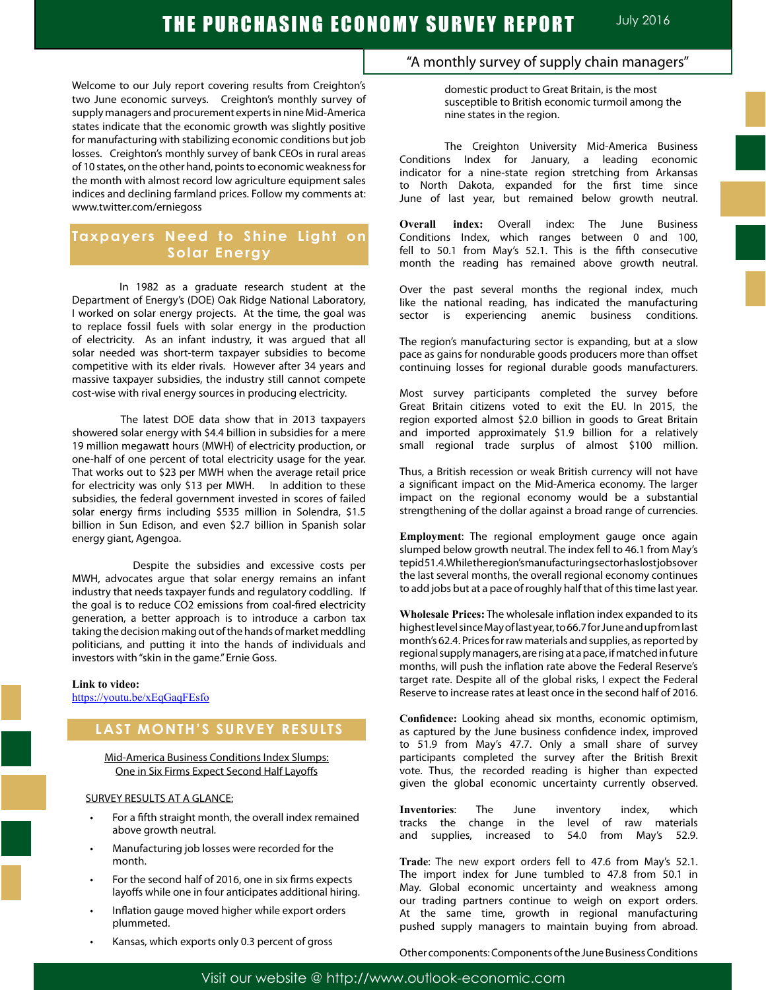Welcome to our July report covering results from Creighton's two June economic surveys. Creighton's monthly survey of supply managers and procurement experts in nine Mid-America states indicate that the economic growth was slightly positive for manufacturing with stabilizing economic conditions but job losses. Creighton's monthly survey of bank CEOs in rural areas of 10 states, on the other hand, points to economic weakness for the month with almost record low agriculture equipment sales indices and declining farmland prices. Follow my comments at: www.twitter.com/erniegoss

# **Taxpayers Need to Shine Light on Solar Energy**

 In 1982 as a graduate research student at the Department of Energy's (DOE) Oak Ridge National Laboratory, I worked on solar energy projects. At the time, the goal was to replace fossil fuels with solar energy in the production of electricity. As an infant industry, it was argued that all solar needed was short-term taxpayer subsidies to become competitive with its elder rivals. However after 34 years and massive taxpayer subsidies, the industry still cannot compete cost-wise with rival energy sources in producing electricity.

 The latest DOE data show that in 2013 taxpayers showered solar energy with \$4.4 billion in subsidies for a mere 19 million megawatt hours (MWH) of electricity production, or one-half of one percent of total electricity usage for the year. That works out to \$23 per MWH when the average retail price for electricity was only \$13 per MWH. In addition to these subsidies, the federal government invested in scores of failed solar energy firms including \$535 million in Solendra, \$1.5 billion in Sun Edison, and even \$2.7 billion in Spanish solar energy giant, Agengoa.

 Despite the subsidies and excessive costs per MWH, advocates argue that solar energy remains an infant industry that needs taxpayer funds and regulatory coddling. If the goal is to reduce CO2 emissions from coal-fired electricity generation, a better approach is to introduce a carbon tax taking the decision making out of the hands of market meddling politicians, and putting it into the hands of individuals and investors with "skin in the game." Ernie Goss.

#### **Link to video:**

https://youtu.be/xEqGaqFEsfo

# **LAST MONTH'S SURVEY RESULTS**

Mid-America Business Conditions Index Slumps: One in Six Firms Expect Second Half Layoffs

#### SURVEY RESULTS AT A GLANCE:

- For a fifth straight month, the overall index remained above growth neutral.
- Manufacturing job losses were recorded for the month.
- For the second half of 2016, one in six firms expects layoffs while one in four anticipates additional hiring.
- Inflation gauge moved higher while export orders plummeted.
- Kansas, which exports only 0.3 percent of gross

## "A monthly survey of supply chain managers"

domestic product to Great Britain, is the most susceptible to British economic turmoil among the nine states in the region.

The Creighton University Mid-America Business Conditions Index for January, a leading economic indicator for a nine-state region stretching from Arkansas to North Dakota, expanded for the first time since June of last year, but remained below growth neutral.

**Overall index:** Overall index: The June Business Conditions Index, which ranges between 0 and 100, fell to 50.1 from May's 52.1. This is the fifth consecutive month the reading has remained above growth neutral.

Over the past several months the regional index, much like the national reading, has indicated the manufacturing sector is experiencing anemic business conditions.

The region's manufacturing sector is expanding, but at a slow pace as gains for nondurable goods producers more than offset continuing losses for regional durable goods manufacturers.

Most survey participants completed the survey before Great Britain citizens voted to exit the EU. In 2015, the region exported almost \$2.0 billion in goods to Great Britain and imported approximately \$1.9 billion for a relatively small regional trade surplus of almost \$100 million.

Thus, a British recession or weak British currency will not have a significant impact on the Mid-America economy. The larger impact on the regional economy would be a substantial strengthening of the dollar against a broad range of currencies.

**Employment**: The regional employment gauge once again slumped below growth neutral. The index fell to 46.1 from May's tepid 51.4. While the region's manufacturing sector has lost jobs over the last several months, the overall regional economy continues to add jobs but at a pace of roughly half that of this time last year.

**Wholesale Prices:** The wholesale inflation index expanded to its highestlevelsinceMayoflastyear,to66.7forJuneandupfromlast month's 62.4. Prices for raw materials and supplies, as reported by regional supply managers, are rising at a pace, if matched in future months, will push the inflation rate above the Federal Reserve's target rate. Despite all of the global risks, I expect the Federal Reserve to increase rates at least once in the second half of 2016.

**Confidence:** Looking ahead six months, economic optimism, as captured by the June business confidence index, improved to 51.9 from May's 47.7. Only a small share of survey participants completed the survey after the British Brexit vote. Thus, the recorded reading is higher than expected given the global economic uncertainty currently observed.

**Inventories**: The June inventory index, which tracks the change in the level of raw materials and supplies, increased to 54.0 from May's 52.9.

**Trade**: The new export orders fell to 47.6 from May's 52.1. The import index for June tumbled to 47.8 from 50.1 in May. Global economic uncertainty and weakness among our trading partners continue to weigh on export orders. At the same time, growth in regional manufacturing pushed supply managers to maintain buying from abroad.

Other components: Components of the June Business Conditions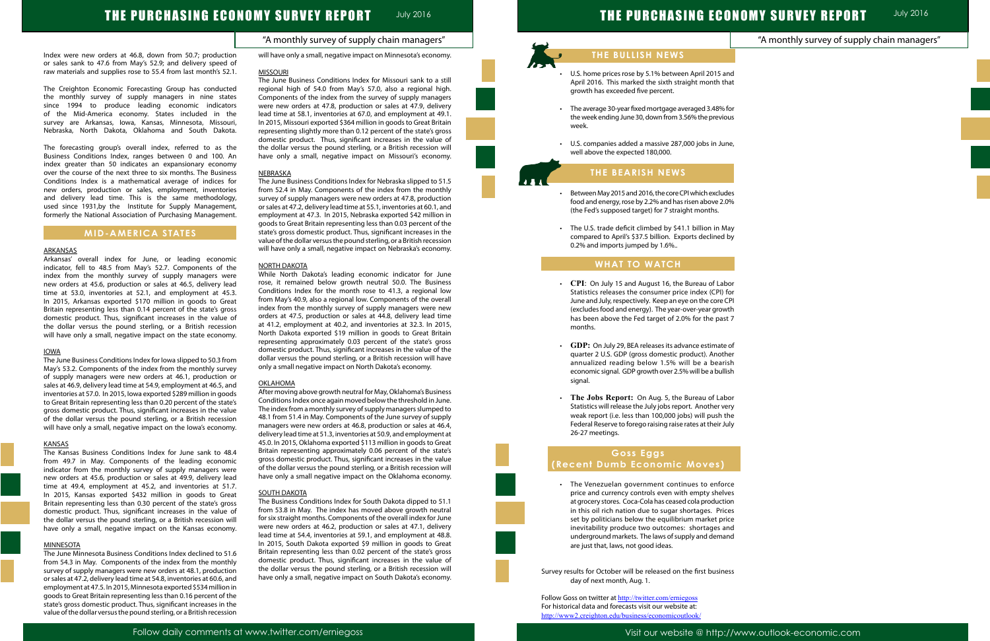### "A monthly survey of supply chain managers"

|                                  | <b>ONOMY SURVEY REPORT</b>                  | <b>July 2016</b> |
|----------------------------------|---------------------------------------------|------------------|
|                                  | "A monthly survey of supply chain managers" |                  |
|                                  |                                             |                  |
| and<br>that                      |                                             |                  |
| $\mathfrak{\text{a}}$ for<br>ous |                                             |                  |
|                                  |                                             |                  |
| ıne,                             |                                             |                  |
|                                  |                                             |                  |
| ides<br>.0%                      |                                             |                  |
|                                  |                                             |                  |
| May<br>d by                      |                                             |                  |
|                                  |                                             |                  |
| bor<br>for                       |                                             |                  |
| CPI<br>wth                       |                                             |                  |
| st 7                             |                                             |                  |
| e of<br>:her                     |                                             |                  |
| rish<br>llish                    |                                             |                  |
|                                  |                                             |                  |
| bor<br>ery/                      |                                             |                  |
| the<br>July                      |                                             |                  |
|                                  |                                             |                  |
|                                  |                                             |                  |
| rce                              |                                             |                  |
| lves<br>tion                     |                                             |                  |
| ices<br>rice                     |                                             |                  |
| and<br>and                       |                                             |                  |
|                                  |                                             |                  |
| ess                              |                                             |                  |

# THE PURCHASING ECONOMY SURVEY REPORT JUly 2016

Index were new orders at 46.8, down from 50.7; production or sales sank to 47.6 from May's 52.9; and delivery speed of raw materials and supplies rose to 55.4 from last month's 52.1.

The Creighton Economic Forecasting Group has conducted the monthly survey of supply managers in nine states since 1994 to produce leading economic indicators of the Mid-America economy. States included in the survey are Arkansas, Iowa, Kansas, Minnesota, Missouri, Nebraska, North Dakota, Oklahoma and South Dakota.

Arkansas' overall index for June, or leading economic indicator, fell to 48.5 from May's 52.7. Components of the index from the monthly survey of supply managers were new orders at 45.6, production or sales at 46.5, delivery lead time at 53.0, inventories at 52.1, and employment at 45.3. In 2015, Arkansas exported \$170 million in goods to Great Britain representing less than 0.14 percent of the state's gross domestic product. Thus, significant increases in the value of the dollar versus the pound sterling, or a British recession will have only a small, negative impact on the state economy.

The forecasting group's overall index, referred to as the Business Conditions Index, ranges between 0 and 100. An index greater than 50 indicates an expansionary economy over the course of the next three to six months. The Business Conditions Index is a mathematical average of indices for new orders, production or sales, employment, inventories and delivery lead time. This is the same methodology, used since 1931,by the Institute for Supply Management, formerly the National Association of Purchasing Management.

## **MID-AMERICA STATES**

#### ARKANSAS

#### IOWA

The June Business Conditions Index for Iowa slipped to 50.3 from May's 53.2. Components of the index from the monthly survey of supply managers were new orders at 46.1, production or sales at 46.9, delivery lead time at 54.9, employment at 46.5, and inventories at 57.0. In 2015, Iowa exported \$289 million in goods to Great Britain representing less than 0.20 percent of the state's gross domestic product. Thus, significant increases in the value of the dollar versus the pound sterling, or a British recession will have only a small, negative impact on the Iowa's economy.

#### KANSAS

The Kansas Business Conditions Index for June sank to 48.4 from 49.7 in May. Components of the leading economic indicator from the monthly survey of supply managers were new orders at 45.6, production or sales at 49.9, delivery lead time at 49.4, employment at 45.2, and inventories at 51.7. In 2015, Kansas exported \$432 million in goods to Great Britain representing less than 0.30 percent of the state's gross domestic product. Thus, significant increases in the value of the dollar versus the pound sterling, or a British recession will have only a small, negative impact on the Kansas economy.

#### **MINNESOTA**

The June Minnesota Business Conditions Index declined to 51.6 from 54.3 in May. Components of the index from the monthly survey of supply managers were new orders at 48.1, production orsales at 47.2, delivery lead time at 54.8, inventories at 60.6, and employment at 47.5. In 2015, Minnesota exported \$534 million in goods to Great Britain representing less than 0.16 percent of the state's gross domestic product. Thus, significant increases in the value of the dollar versus the pound sterling, or a British recession will have only a small, negative impact on Minnesota's economy.

- U.S. home prices rose by 5.1% between April 2015 April 2016. This marked the sixth straight month growth has exceeded five percent.
- The average 30-year fixed mortgage averaged 3.48% the week ending June 30, down from 3.56% the previ week.
- U.S. companies added a massive 287,000 jobs in Ju well above the expected 180,000.

#### MISSOURI

- Between May 2015 and 2016, the core CPI which exclu food and energy, rose by 2.2% and has risen above 2 (the Fed's supposed target) for 7 straight months.
- $\cdot$  The U.S. trade deficit climbed by \$41.1 billion in M compared to April's \$37.5 billion. Exports declined 0.2% and imports jumped by 1.6%..

The June Business Conditions Index for Missouri sank to a still regional high of 54.0 from May's 57.0, also a regional high. Components of the index from the survey of supply managers were new orders at 47.8, production or sales at 47.9, delivery lead time at 58.1, inventories at 67.0, and employment at 49.1. In 2015, Missouri exported \$364 million in goods to Great Britain representing slightly more than 0.12 percent of the state's gross domestic product. Thus, significant increases in the value of the dollar versus the pound sterling, or a British recession will have only a small, negative impact on Missouri's economy.

- CPI: On July 15 and August 16, the Bureau of La Statistics releases the consumer price index (CPI) June and July, respectively. Keep an eye on the core (excludes food and energy). The year-over-year grow has been above the Fed target of 2.0% for the pa months.
- **GDP:** On July 29, BEA releases its advance estimate quarter 2 U.S. GDP (gross domestic product). Another annualized reading below 1.5% will be a bear economic signal. GDP growth over 2.5% will be a bul signal.
- The Jobs Report: On Aug. 5, the Bureau of Labor Statistics will release the July jobs report. Another v weak report (i.e. less than 100,000 jobs) will push Federal Reserve to forego raising raise rates at their 26-27 meetings.

#### NEBRASKA

• The Venezuelan government continues to enfo price and currency controls even with empty shel at grocery stores. Coca-Cola has ceased cola product in this oil rich nation due to sugar shortages. Pri set by politicians below the equilibrium market pi inevitability produce two outcomes: shortages underground markets. The laws of supply and dem are just that, laws, not good ideas.

Survey results for October will be released on the first busines day of next month, Aug. 1.

Follow Goss on twitter at http://twitter.com/erniegoss For historical data and forecasts visit our website at: http://www2.creighton.edu/business/economicoutlook/

The June Business Conditions Index for Nebraska slipped to 51.5 from 52.4 in May. Components of the index from the monthly survey of supply managers were new orders at 47.8, production orsales at 47.2, delivery lead time at 55.1, inventories at 60.1, and employment at 47.3. In 2015, Nebraska exported \$42 million in goods to Great Britain representing less than 0.03 percent of the state's gross domestic product. Thus, significant increases in the value of the dollar versus the pound sterling, or a British recession will have only a small, negative impact on Nebraska's economy.

#### NORTH DAKOTA

While North Dakota's leading economic indicator for June rose, it remained below growth neutral 50.0. The Business Conditions Index for the month rose to 41.3, a regional low from May's 40.9, also a regional low. Components of the overall index from the monthly survey of supply managers were new orders at 47.5, production or sales at 44.8, delivery lead time at 41.2, employment at 40.2, and inventories at 32.3. In 2015, North Dakota exported \$19 million in goods to Great Britain representing approximately 0.03 percent of the state's gross domestic product. Thus, significant increases in the value of the dollar versus the pound sterling, or a British recession will have only a small negative impact on North Dakota's economy.

#### **OKLAHOMA**

After moving above growth neutral for May, Oklahoma's Business Conditions Index once again moved below the threshold in June. The index from a monthly survey of supply managers slumped to 48.1 from 51.4 in May. Components of the June survey of supply managers were new orders at 46.8, production or sales at 46.4, delivery lead time at 51.3, inventories at 50.9, and employment at 45.0. In 2015, Oklahoma exported \$113 million in goods to Great Britain representing approximately 0.06 percent of the state's gross domestic product. Thus, significant increases in the value of the dollar versus the pound sterling, or a British recession will have only a small negative impact on the Oklahoma economy.

#### **SOUTH DAKOTA**

The Business Conditions Index for South Dakota dipped to 51.1 from 53.8 in May. The index has moved above growth neutral for six straight months. Components of the overall index for June were new orders at 46.2, production or sales at 47.1, delivery lead time at 54.4, inventories at 59.1, and employment at 48.8. In 2015, South Dakota exported \$9 million in goods to Great Britain representing less than 0.02 percent of the state's gross domestic product. Thus, significant increases in the value of the dollar versus the pound sterling, or a British recession will have only a small, negative impact on South Dakota's economy.

# **THE PURCHASING EC**

# **THE BULLISH NEWS**

# **THE BEARISH NEWS**

## **WHAT TO WATCH**

l

Ï

# **Goss Eggs (Recent Dumb Economic Moves)**